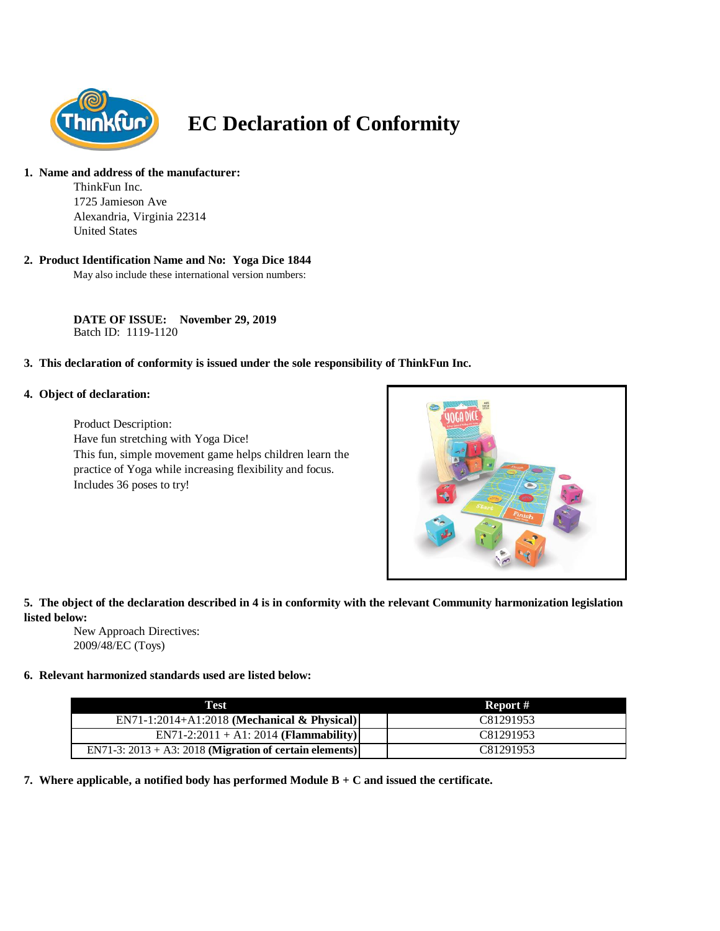

# **EC Declaration of Conformity**

#### **1. Name and address of the manufacturer:**

ThinkFun Inc. 1725 Jamieson Ave Alexandria, Virginia 22314 United States

## **2. Product Identification Name and No: Yoga Dice 1844**

May also include these international version numbers:

**DATE OF ISSUE: November 29, 2019** Batch ID: 1119-1120

## **3. This declaration of conformity is issued under the sole responsibility of ThinkFun Inc.**

#### **4. Object of declaration:**

Product Description: Have fun stretching with Yoga Dice! This fun, simple movement game helps children learn the practice of Yoga while increasing flexibility and focus. Includes 36 poses to try!



## **5. The object of the declaration described in 4 is in conformity with the relevant Community harmonization legislation listed below:**

New Approach Directives: 2009/48/EC (Toys)

## **6. Relevant harmonized standards used are listed below:**

| Test                                                       | Report #  |
|------------------------------------------------------------|-----------|
| $EN71-1:2014+A1:2018$ (Mechanical & Physical)              | C81291953 |
| $EN71-2:2011 + A1:2014 (Flammablity)$                      | C81291953 |
| EN71-3: $2013 + A3$ : 2018 (Migration of certain elements) | C81291953 |

**7. Where applicable, a notified body has performed Module B + C and issued the certificate.**